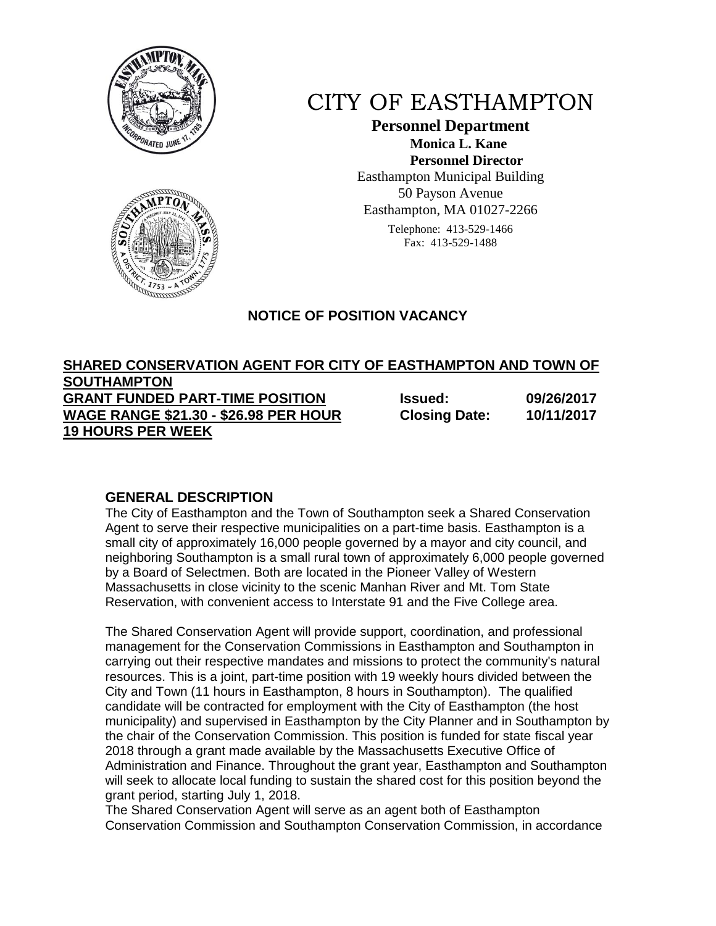



# CITY OF EASTHAMPTON

**Personnel Department Monica L. Kane Personnel Director** Easthampton Municipal Building 50 Payson Avenue Easthampton, MA 01027-2266 Telephone: 413-529-1466

Fax: 413-529-1488

# **NOTICE OF POSITION VACANCY**

# **SHARED CONSERVATION AGENT FOR CITY OF EASTHAMPTON AND TOWN OF SOUTHAMPTON GRANT FUNDED PART-TIME POSITION Issued: 09/26/2017 WAGE RANGE \$21.30 - \$26.98 PER HOUR Closing Date: 10/11/2017 19 HOURS PER WEEK**

### **GENERAL DESCRIPTION**

The City of Easthampton and the Town of Southampton seek a Shared Conservation Agent to serve their respective municipalities on a part-time basis. Easthampton is a small city of approximately 16,000 people governed by a mayor and city council, and neighboring Southampton is a small rural town of approximately 6,000 people governed by a Board of Selectmen. Both are located in the Pioneer Valley of Western Massachusetts in close vicinity to the scenic Manhan River and Mt. Tom State Reservation, with convenient access to Interstate 91 and the Five College area.

The Shared Conservation Agent will provide support, coordination, and professional management for the Conservation Commissions in Easthampton and Southampton in carrying out their respective mandates and missions to protect the community's natural resources. This is a joint, part-time position with 19 weekly hours divided between the City and Town (11 hours in Easthampton, 8 hours in Southampton). The qualified candidate will be contracted for employment with the City of Easthampton (the host municipality) and supervised in Easthampton by the City Planner and in Southampton by the chair of the Conservation Commission. This position is funded for state fiscal year 2018 through a grant made available by the Massachusetts Executive Office of Administration and Finance. Throughout the grant year, Easthampton and Southampton will seek to allocate local funding to sustain the shared cost for this position beyond the grant period, starting July 1, 2018.

The Shared Conservation Agent will serve as an agent both of Easthampton Conservation Commission and Southampton Conservation Commission, in accordance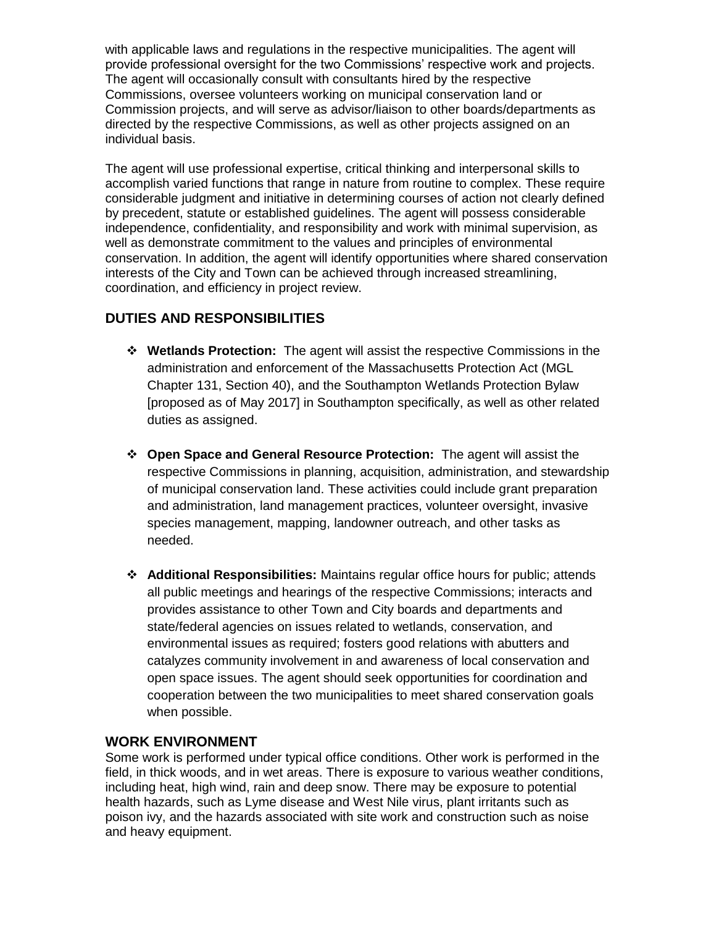with applicable laws and regulations in the respective municipalities. The agent will provide professional oversight for the two Commissions' respective work and projects. The agent will occasionally consult with consultants hired by the respective Commissions, oversee volunteers working on municipal conservation land or Commission projects, and will serve as advisor/liaison to other boards/departments as directed by the respective Commissions, as well as other projects assigned on an individual basis.

The agent will use professional expertise, critical thinking and interpersonal skills to accomplish varied functions that range in nature from routine to complex. These require considerable judgment and initiative in determining courses of action not clearly defined by precedent, statute or established guidelines. The agent will possess considerable independence, confidentiality, and responsibility and work with minimal supervision, as well as demonstrate commitment to the values and principles of environmental conservation. In addition, the agent will identify opportunities where shared conservation interests of the City and Town can be achieved through increased streamlining, coordination, and efficiency in project review.

# **DUTIES AND RESPONSIBILITIES**

- **Wetlands Protection:** The agent will assist the respective Commissions in the administration and enforcement of the Massachusetts Protection Act (MGL Chapter 131, Section 40), and the Southampton Wetlands Protection Bylaw [proposed as of May 2017] in Southampton specifically, as well as other related duties as assigned.
- **Open Space and General Resource Protection:** The agent will assist the respective Commissions in planning, acquisition, administration, and stewardship of municipal conservation land. These activities could include grant preparation and administration, land management practices, volunteer oversight, invasive species management, mapping, landowner outreach, and other tasks as needed.
- **Additional Responsibilities:** Maintains regular office hours for public; attends all public meetings and hearings of the respective Commissions; interacts and provides assistance to other Town and City boards and departments and state/federal agencies on issues related to wetlands, conservation, and environmental issues as required; fosters good relations with abutters and catalyzes community involvement in and awareness of local conservation and open space issues. The agent should seek opportunities for coordination and cooperation between the two municipalities to meet shared conservation goals when possible.

### **WORK ENVIRONMENT**

Some work is performed under typical office conditions. Other work is performed in the field, in thick woods, and in wet areas. There is exposure to various weather conditions, including heat, high wind, rain and deep snow. There may be exposure to potential health hazards, such as Lyme disease and West Nile virus, plant irritants such as poison ivy, and the hazards associated with site work and construction such as noise and heavy equipment.